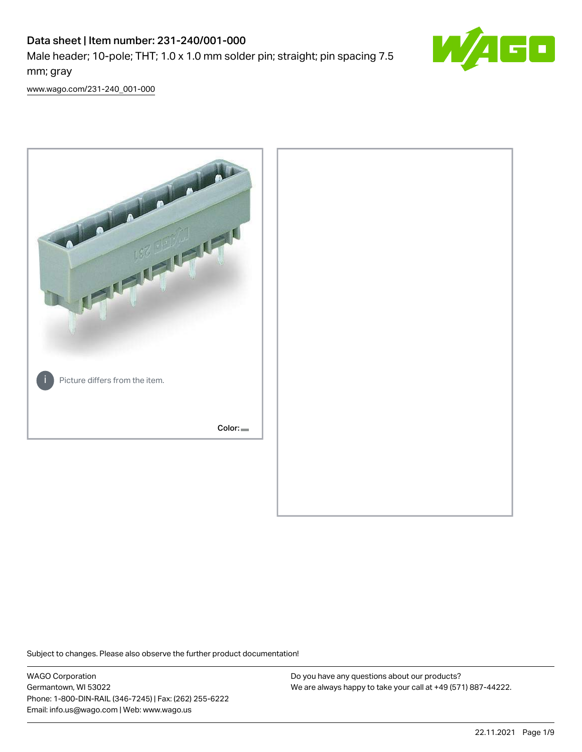# Data sheet | Item number: 231-240/001-000

Male header; 10-pole; THT; 1.0 x 1.0 mm solder pin; straight; pin spacing 7.5 mm; gray



[www.wago.com/231-240\\_001-000](http://www.wago.com/231-240_001-000)



Subject to changes. Please also observe the further product documentation!

WAGO Corporation Germantown, WI 53022 Phone: 1-800-DIN-RAIL (346-7245) | Fax: (262) 255-6222 Email: info.us@wago.com | Web: www.wago.us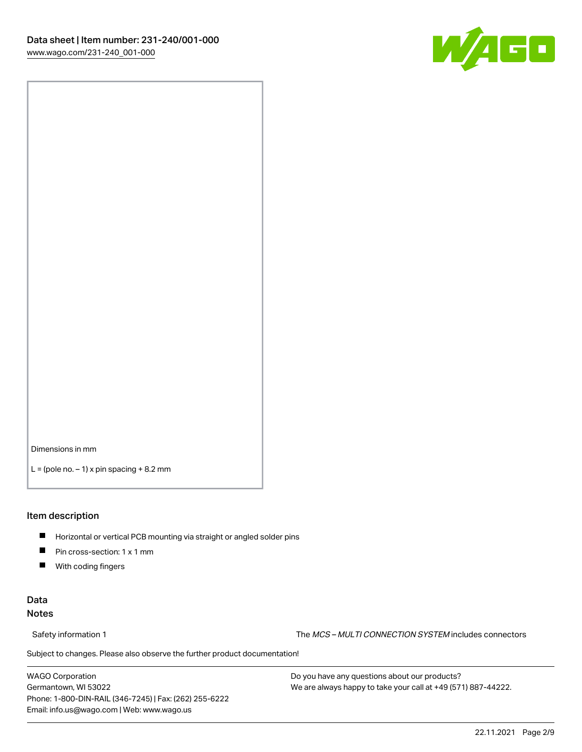

Dimensions in mm

 $L =$  (pole no.  $-1$ ) x pin spacing  $+8.2$  mm

#### Item description

- **Horizontal or vertical PCB mounting via straight or angled solder pins**
- **Pin cross-section: 1 x 1 mm**
- $\blacksquare$ With coding fingers

# Data Notes

Safety information 1 The MCS – MULTI CONNECTION SYSTEM includes connectors

Subject to changes. Please also observe the further product documentation!  $\nu$ 

WAGO Corporation Germantown, WI 53022 Phone: 1-800-DIN-RAIL (346-7245) | Fax: (262) 255-6222 Email: info.us@wago.com | Web: www.wago.us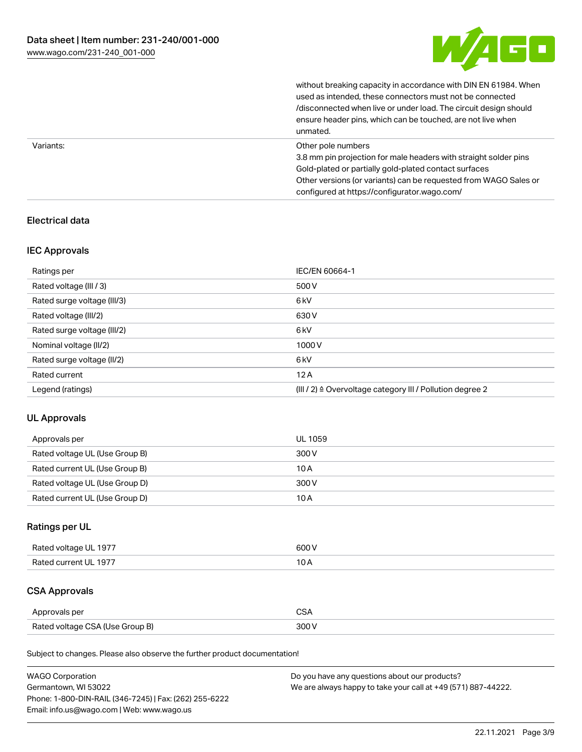

without breaking capacity in accordance with DIN EN 61984. When

|           | used as intended, these connectors must not be connected<br>/disconnected when live or under load. The circuit design should<br>ensure header pins, which can be touched, are not live when<br>unmated.                                                             |
|-----------|---------------------------------------------------------------------------------------------------------------------------------------------------------------------------------------------------------------------------------------------------------------------|
| Variants: | Other pole numbers<br>3.8 mm pin projection for male headers with straight solder pins<br>Gold-plated or partially gold-plated contact surfaces<br>Other versions (or variants) can be requested from WAGO Sales or<br>configured at https://configurator.wago.com/ |

# Electrical data

# IEC Approvals

| Ratings per                 | IEC/EN 60664-1                                                        |
|-----------------------------|-----------------------------------------------------------------------|
| Rated voltage (III / 3)     | 500 V                                                                 |
| Rated surge voltage (III/3) | 6 <sub>kV</sub>                                                       |
| Rated voltage (III/2)       | 630 V                                                                 |
| Rated surge voltage (III/2) | 6 <sub>kV</sub>                                                       |
| Nominal voltage (II/2)      | 1000V                                                                 |
| Rated surge voltage (II/2)  | 6 <sub>kV</sub>                                                       |
| Rated current               | 12A                                                                   |
| Legend (ratings)            | $(III / 2)$ $\triangle$ Overvoltage category III / Pollution degree 2 |

# UL Approvals

| Approvals per                  | UL 1059 |
|--------------------------------|---------|
| Rated voltage UL (Use Group B) | 300 V   |
| Rated current UL (Use Group B) | 10 A    |
| Rated voltage UL (Use Group D) | 300 V   |
| Rated current UL (Use Group D) | 10 A    |

# Ratings per UL

| Rated voltage UL 1977 | 600 V |
|-----------------------|-------|
| Rated current UL 1977 |       |

# CSA Approvals

| Approvals per                   | $\sim$ |
|---------------------------------|--------|
| Rated voltage CSA (Use Group B) | 300 V  |

Subject to changes. Please also observe the further product documentation!

| <b>WAGO Corporation</b>                                | Do you have any questions about our products?                 |
|--------------------------------------------------------|---------------------------------------------------------------|
| Germantown, WI 53022                                   | We are always happy to take your call at +49 (571) 887-44222. |
| Phone: 1-800-DIN-RAIL (346-7245)   Fax: (262) 255-6222 |                                                               |
| Email: info.us@wago.com   Web: www.wago.us             |                                                               |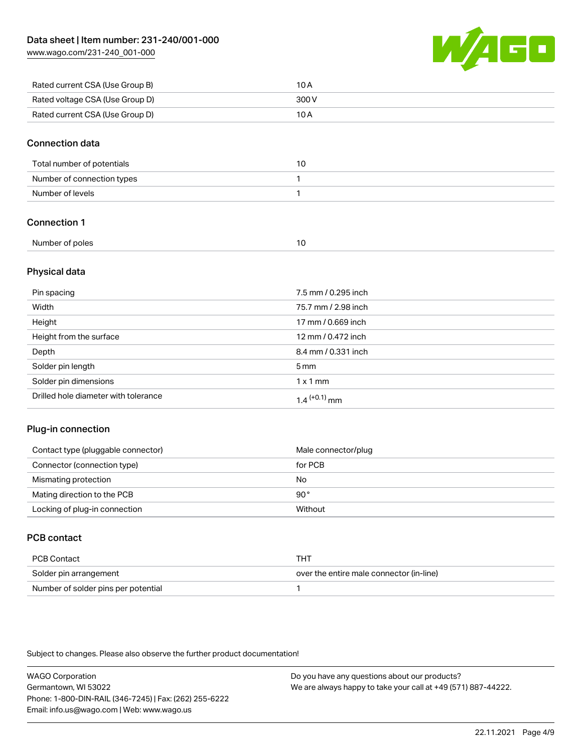[www.wago.com/231-240\\_001-000](http://www.wago.com/231-240_001-000)



| Rated current CSA (Use Group B) | 10 A  |
|---------------------------------|-------|
| Rated voltage CSA (Use Group D) | 300 V |
| Rated current CSA (Use Group D) | 10 A  |

### Connection data

| Total number of potentials |  |
|----------------------------|--|
| Number of connection types |  |
| Number of levels           |  |

# Connection 1

| Number of poles |  |  |
|-----------------|--|--|
|-----------------|--|--|

### Physical data

| Pin spacing                          | 7.5 mm / 0.295 inch |
|--------------------------------------|---------------------|
| Width                                | 75.7 mm / 2.98 inch |
| Height                               | 17 mm / 0.669 inch  |
| Height from the surface              | 12 mm / 0.472 inch  |
| Depth                                | 8.4 mm / 0.331 inch |
| Solder pin length                    | $5 \,\mathrm{mm}$   |
| Solder pin dimensions                | $1 \times 1$ mm     |
| Drilled hole diameter with tolerance | $1.4$ $(+0.1)$ mm   |

# Plug-in connection

| Contact type (pluggable connector) | Male connector/plug |
|------------------------------------|---------------------|
| Connector (connection type)        | for PCB             |
| Mismating protection               | No                  |
| Mating direction to the PCB        | 90°                 |
| Locking of plug-in connection      | Without             |

# PCB contact

| PCB Contact                         | тнт                                      |
|-------------------------------------|------------------------------------------|
| Solder pin arrangement              | over the entire male connector (in-line) |
| Number of solder pins per potential |                                          |

Subject to changes. Please also observe the further product documentation!

WAGO Corporation Germantown, WI 53022 Phone: 1-800-DIN-RAIL (346-7245) | Fax: (262) 255-6222 Email: info.us@wago.com | Web: www.wago.us Do you have any questions about our products? We are always happy to take your call at +49 (571) 887-44222.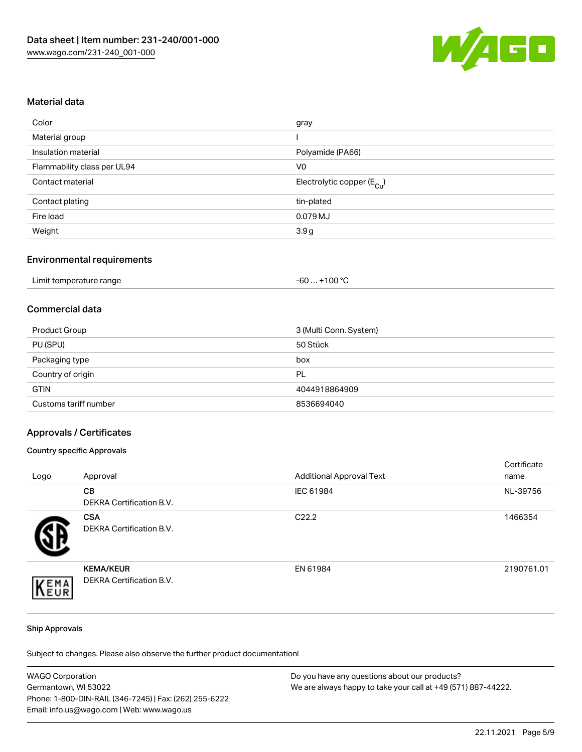

### Material data

| Color                       | gray                                   |
|-----------------------------|----------------------------------------|
| Material group              |                                        |
| Insulation material         | Polyamide (PA66)                       |
| Flammability class per UL94 | V0                                     |
| Contact material            | Electrolytic copper (E <sub>Cu</sub> ) |
| Contact plating             | tin-plated                             |
| Fire load                   | 0.079 MJ                               |
| Weight                      | 3.9 <sub>g</sub>                       |
|                             |                                        |

# Environmental requirements

| Limit temperature range | $+100 °C$<br>-60 |
|-------------------------|------------------|
|-------------------------|------------------|

# Commercial data

| Product Group         | 3 (Multi Conn. System) |
|-----------------------|------------------------|
| PU (SPU)              | 50 Stück               |
| Packaging type        | box                    |
| Country of origin     | PL                     |
| <b>GTIN</b>           | 4044918864909          |
| Customs tariff number | 8536694040             |

#### Approvals / Certificates

#### Country specific Approvals

| Logo | Approval                                            | <b>Additional Approval Text</b> | Certificate<br>name |
|------|-----------------------------------------------------|---------------------------------|---------------------|
|      | <b>CB</b><br>DEKRA Certification B.V.               | IEC 61984                       | NL-39756            |
|      | <b>CSA</b><br>DEKRA Certification B.V.              | C <sub>22.2</sub>               | 1466354             |
| EMA  | <b>KEMA/KEUR</b><br><b>DEKRA Certification B.V.</b> | EN 61984                        | 2190761.01          |

#### Ship Approvals

Subject to changes. Please also observe the further product documentation!

| <b>WAGO Corporation</b>                                | Do you have any questions about our products?                 |
|--------------------------------------------------------|---------------------------------------------------------------|
| Germantown, WI 53022                                   | We are always happy to take your call at +49 (571) 887-44222. |
| Phone: 1-800-DIN-RAIL (346-7245)   Fax: (262) 255-6222 |                                                               |
| Email: info.us@wago.com   Web: www.wago.us             |                                                               |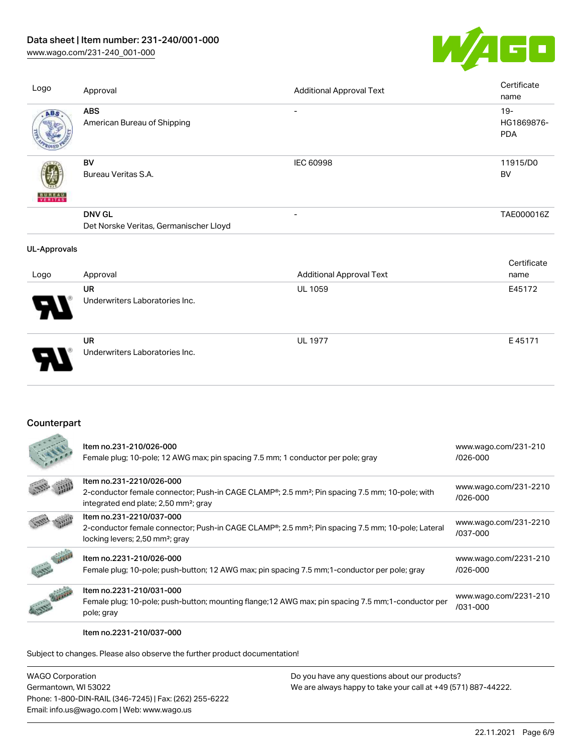# Data sheet | Item number: 231-240/001-000

[www.wago.com/231-240\\_001-000](http://www.wago.com/231-240_001-000)



| Logo                | Approval                                                | <b>Additional Approval Text</b> | Certificate<br>name                |
|---------------------|---------------------------------------------------------|---------------------------------|------------------------------------|
| ABS                 | <b>ABS</b><br>American Bureau of Shipping               |                                 | $19 -$<br>HG1869876-<br><b>PDA</b> |
| <b>ERITAS</b>       | <b>BV</b><br>Bureau Veritas S.A.                        | IEC 60998                       | 11915/D0<br><b>BV</b>              |
|                     | <b>DNV GL</b><br>Det Norske Veritas, Germanischer Lloyd | $\overline{\phantom{a}}$        | TAE000016Z                         |
| <b>UL-Approvals</b> |                                                         |                                 |                                    |
| Logo                | Approval                                                | <b>Additional Approval Text</b> | Certificate<br>name                |
|                     | <b>UR</b><br>Underwriters Laboratories Inc.             | UL 1059                         | E45172                             |
|                     | UR<br>Underwriters Laboratories Inc.                    | <b>UL 1977</b>                  | E45171                             |

# **Counterpart**

|               | Item no.231-210/026-000<br>Female plug; 10-pole; 12 AWG max; pin spacing 7.5 mm; 1 conductor per pole; gray                                                                                              | www.wago.com/231-210<br>$/026 - 000$  |
|---------------|----------------------------------------------------------------------------------------------------------------------------------------------------------------------------------------------------------|---------------------------------------|
|               | Item no.231-2210/026-000<br>2-conductor female connector; Push-in CAGE CLAMP <sup>®</sup> ; 2.5 mm <sup>2</sup> ; Pin spacing 7.5 mm; 10-pole; with<br>integrated end plate; 2,50 mm <sup>2</sup> ; gray | www.wago.com/231-2210<br>$/026 - 000$ |
|               | Item no.231-2210/037-000<br>2-conductor female connector; Push-in CAGE CLAMP®; 2.5 mm <sup>2</sup> ; Pin spacing 7.5 mm; 10-pole; Lateral<br>locking levers; 2,50 mm <sup>2</sup> ; gray                 | www.wago.com/231-2210<br>/037-000     |
|               | Item no.2231-210/026-000<br>Female plug; 10-pole; push-button; 12 AWG max; pin spacing 7.5 mm; 1-conductor per pole; gray                                                                                | www.wago.com/2231-210<br>$/026 - 000$ |
| <b>CANADA</b> | Item no.2231-210/031-000<br>Female plug; 10-pole; push-button; mounting flange; 12 AWG max; pin spacing 7.5 mm; 1-conductor per<br>pole; gray                                                            | www.wago.com/2231-210<br>/031-000     |

#### Item no.2231-210/037-000

Subject to changes. Please also observe the further product documentation!

WAGO Corporation Germantown, WI 53022 Phone: 1-800-DIN-RAIL (346-7245) | Fax: (262) 255-6222 Email: info.us@wago.com | Web: www.wago.us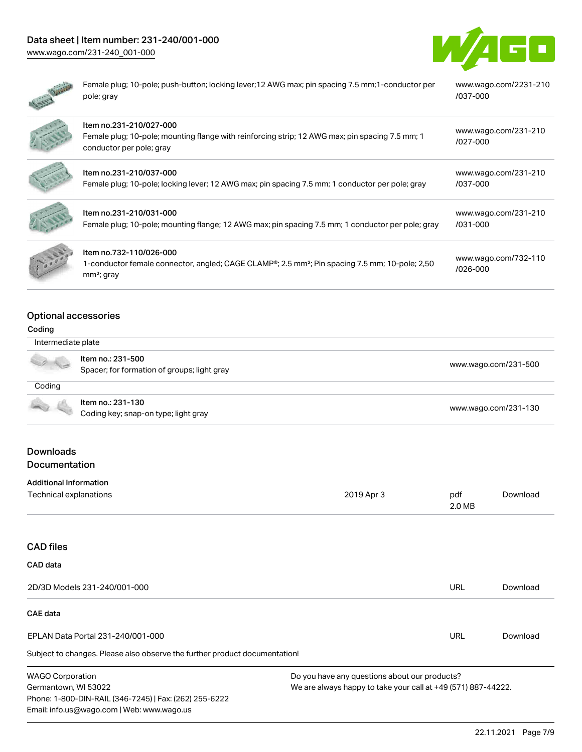# Data sheet | Item number: 231-240/001-000

[www.wago.com/231-240\\_001-000](http://www.wago.com/231-240_001-000)



| Female plug; 10-pole; push-button; locking lever; 12 AWG max; pin spacing 7.5 mm; 1-conductor per<br>pole; gray                                        | www.wago.com/2231-210<br>/037-000 |
|--------------------------------------------------------------------------------------------------------------------------------------------------------|-----------------------------------|
| Item no.231-210/027-000<br>Female plug; 10-pole; mounting flange with reinforcing strip; 12 AWG max; pin spacing 7.5 mm; 1<br>conductor per pole; gray | www.wago.com/231-210<br>/027-000  |
| Item no.231-210/037-000<br>Female plug; 10-pole; locking lever; 12 AWG max; pin spacing 7.5 mm; 1 conductor per pole; gray                             | www.wago.com/231-210<br>/037-000  |
| Item no.231-210/031-000<br>Female plug; 10-pole; mounting flange; 12 AWG max; pin spacing 7.5 mm; 1 conductor per pole; gray                           | www.wago.com/231-210<br>/031-000  |
| Item no.732-110/026-000<br>1-conductor female connector, angled; CAGE CLAMP®; 2.5 mm <sup>2</sup> ; Pin spacing 7.5 mm; 10-pole; 2,50<br>$mm2$ ; gray  | www.wago.com/732-110<br>/026-000  |

# Optional accessories

### Coding

| Intermediate plate                       |                                                                  |                      |  |  |
|------------------------------------------|------------------------------------------------------------------|----------------------|--|--|
|                                          | Item no.: 231-500<br>Spacer; for formation of groups; light gray | www.wago.com/231-500 |  |  |
| Coding                                   |                                                                  |                      |  |  |
|                                          | Item no.: 231-130<br>Coding key; snap-on type; light gray        | www.wago.com/231-130 |  |  |
| <b>Downloads</b><br><b>Documentation</b> |                                                                  |                      |  |  |
| <b>Additional Information</b>            |                                                                  |                      |  |  |

| Technical explanations       | 2019 Apr 3 | pdf<br>2.0 MB | Download |
|------------------------------|------------|---------------|----------|
|                              |            |               |          |
| <b>CAD files</b>             |            |               |          |
| CAD data                     |            |               |          |
| 2D/3D Models 231-240/001-000 |            | URL           | Download |

Subject to changes. Please also observe the further product documentation! WAGO Corporation Do you have any questions about our products? CAE data EPLAN Data Portal 231-240/001-000 URL [Download](https://www.wago.com/global/d/EPLAN_URLS_231-240%252F001-000)

Germantown, WI 53022 Phone: 1-800-DIN-RAIL (346-7245) | Fax: (262) 255-6222 Email: info.us@wago.com | Web: www.wago.us

We are always happy to take your call at +49 (571) 887-44222.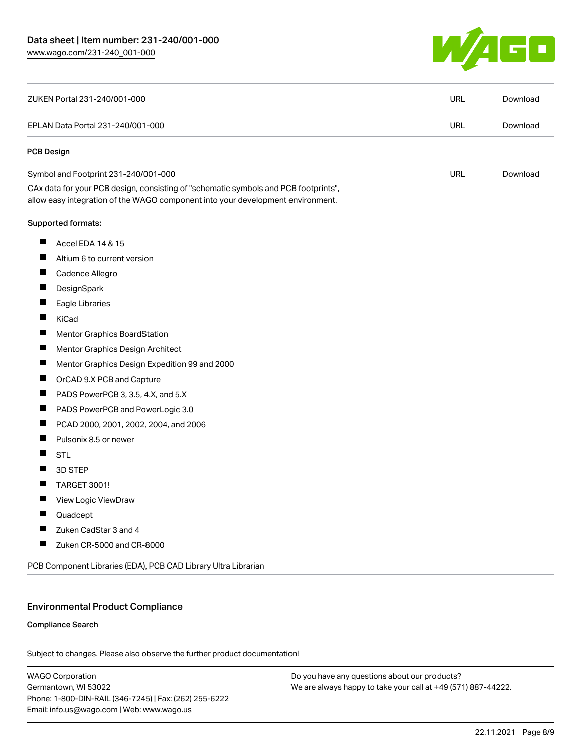

| ZUKEN Portal 231-240/001-000                                                                                                                                           | <b>URL</b> | Download |
|------------------------------------------------------------------------------------------------------------------------------------------------------------------------|------------|----------|
| EPLAN Data Portal 231-240/001-000                                                                                                                                      |            | Download |
| PCB Design                                                                                                                                                             |            |          |
| Symbol and Footprint 231-240/001-000                                                                                                                                   | <b>URL</b> | Download |
| CAx data for your PCB design, consisting of "schematic symbols and PCB footprints",<br>allow easy integration of the WAGO component into your development environment. |            |          |
| Supported formats:                                                                                                                                                     |            |          |
| ш<br>Accel EDA 14 & 15                                                                                                                                                 |            |          |
| ш<br>Altium 6 to current version                                                                                                                                       |            |          |
| ш<br>Cadence Allegro                                                                                                                                                   |            |          |
| ш<br>DesignSpark                                                                                                                                                       |            |          |
| Eagle Libraries                                                                                                                                                        |            |          |
| ш<br>KiCad                                                                                                                                                             |            |          |
| ш<br><b>Mentor Graphics BoardStation</b>                                                                                                                               |            |          |
| ш<br>Mentor Graphics Design Architect                                                                                                                                  |            |          |
| ш<br>Mentor Graphics Design Expedition 99 and 2000                                                                                                                     |            |          |
| ш<br>OrCAD 9.X PCB and Capture                                                                                                                                         |            |          |
| PADS PowerPCB 3, 3.5, 4.X, and 5.X                                                                                                                                     |            |          |
| Ш<br>PADS PowerPCB and PowerLogic 3.0                                                                                                                                  |            |          |
| ш<br>PCAD 2000, 2001, 2002, 2004, and 2006                                                                                                                             |            |          |
| ш<br>Pulsonix 8.5 or newer                                                                                                                                             |            |          |
| ш<br><b>STL</b>                                                                                                                                                        |            |          |
| Ш<br>3D STEP                                                                                                                                                           |            |          |
| <b>TARGET 3001!</b><br>H                                                                                                                                               |            |          |
| ш<br>View Logic ViewDraw                                                                                                                                               |            |          |
| ш<br>Quadcept                                                                                                                                                          |            |          |
| П<br>Zuken CadStar 3 and 4                                                                                                                                             |            |          |
| ц<br>Zuken CR-5000 and CR-8000                                                                                                                                         |            |          |
| PCB Component Libraries (EDA), PCB CAD Library Ultra Librarian                                                                                                         |            |          |

# Environmental Product Compliance

#### Compliance Search

Subject to changes. Please also observe the further product documentation!

WAGO Corporation Germantown, WI 53022 Phone: 1-800-DIN-RAIL (346-7245) | Fax: (262) 255-6222 Email: info.us@wago.com | Web: www.wago.us